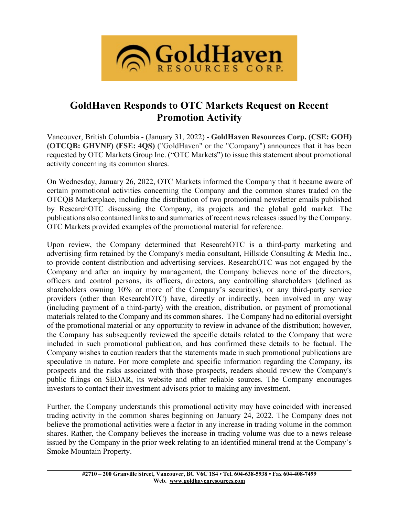

# **GoldHaven Responds to OTC Markets Request on Recent Promotion Activity**

Vancouver, British Columbia - (January 31, 2022) - **GoldHaven Resources Corp. (CSE: GOH) (OTCQB: GHVNF) (FSE: 4QS)** ("GoldHaven" or the "Company") announces that it has been requested by OTC Markets Group Inc. ("OTC Markets") to issue this statement about promotional activity concerning its common shares.

On Wednesday, January 26, 2022, OTC Markets informed the Company that it became aware of certain promotional activities concerning the Company and the common shares traded on the OTCQB Marketplace, including the distribution of two promotional newsletter emails published by ResearchOTC discussing the Company, its projects and the global gold market. The publications also contained links to and summaries of recent news releases issued by the Company. OTC Markets provided examples of the promotional material for reference.

Upon review, the Company determined that ResearchOTC is a third-party marketing and advertising firm retained by the Company's media consultant, Hillside Consulting & Media Inc., to provide content distribution and advertising services. ResearchOTC was not engaged by the Company and after an inquiry by management, the Company believes none of the directors, officers and control persons, its officers, directors, any controlling shareholders (defined as shareholders owning 10% or more of the Company's securities), or any third-party service providers (other than ResearchOTC) have, directly or indirectly, been involved in any way (including payment of a third-party) with the creation, distribution, or payment of promotional materials related to the Company and its common shares. The Company had no editorial oversight of the promotional material or any opportunity to review in advance of the distribution; however, the Company has subsequently reviewed the specific details related to the Company that were included in such promotional publication, and has confirmed these details to be factual. The Company wishes to caution readers that the statements made in such promotional publications are speculative in nature. For more complete and specific information regarding the Company, its prospects and the risks associated with those prospects, readers should review the Company's public filings on SEDAR, its website and other reliable sources. The Company encourages investors to contact their investment advisors prior to making any investment.

Further, the Company understands this promotional activity may have coincided with increased trading activity in the common shares beginning on January 24, 2022. The Company does not believe the promotional activities were a factor in any increase in trading volume in the common shares. Rather, the Company believes the increase in trading volume was due to a news release issued by the Company in the prior week relating to an identified mineral trend at the Company's Smoke Mountain Property.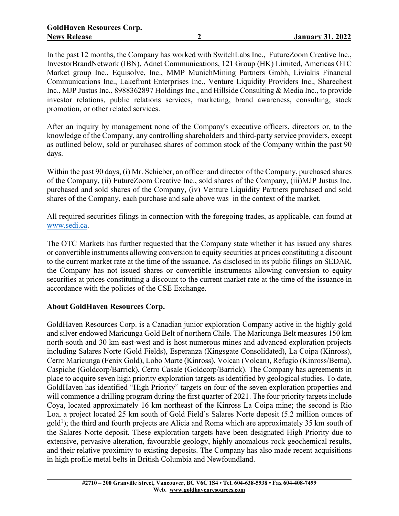In the past 12 months, the Company has worked with SwitchLabs Inc., FutureZoom Creative Inc., InvestorBrandNetwork (IBN), Adnet Communications, 121 Group (HK) Limited, Americas OTC Market group Inc., Equisolve, Inc., MMP MunichMining Partners Gmbh, Liviakis Financial Communications Inc., Lakefront Enterprises Inc., Venture Liquidity Providers Inc., Sharechest Inc., MJP Justus Inc., 8988362897 Holdings Inc., and Hillside Consulting & Media Inc., to provide investor relations, public relations services, marketing, brand awareness, consulting, stock promotion, or other related services.

After an inquiry by management none of the Company's executive officers, directors or, to the knowledge of the Company, any controlling shareholders and third-party service providers, except as outlined below, sold or purchased shares of common stock of the Company within the past 90 days.

Within the past 90 days, (i) Mr. Schieber, an officer and director of the Company, purchased shares of the Company, (ii) FutureZoom Creative Inc., sold shares of the Company, (iii)MJP Justus Inc. purchased and sold shares of the Company, (iv) Venture Liquidity Partners purchased and sold shares of the Company, each purchase and sale above was in the context of the market.

All required securities filings in connection with the foregoing trades, as applicable, can found at [www.sedi.ca.](http://www.sedi.ca/)

The OTC Markets has further requested that the Company state whether it has issued any shares or convertible instruments allowing conversion to equity securities at prices constituting a discount to the current market rate at the time of the issuance. As disclosed in its public filings on SEDAR, the Company has not issued shares or convertible instruments allowing conversion to equity securities at prices constituting a discount to the current market rate at the time of the issuance in accordance with the policies of the CSE Exchange.

## **About GoldHaven Resources Corp.**

GoldHaven Resources Corp. is a Canadian junior exploration Company active in the highly gold and silver endowed Maricunga Gold Belt of northern Chile. The Maricunga Belt measures 150 km north-south and 30 km east-west and is host numerous mines and advanced exploration projects including Salares Norte (Gold Fields), Esperanza (Kingsgate Consolidated), La Coipa (Kinross), Cerro Maricunga (Fenix Gold), Lobo Marte (Kinross), Volcan (Volcan), Refugio (Kinross/Bema), Caspiche (Goldcorp/Barrick), Cerro Casale (Goldcorp/Barrick). The Company has agreements in place to acquire seven high priority exploration targets as identified by geological studies. To date, GoldHaven has identified "High Priority" targets on four of the seven exploration properties and will commence a drilling program during the first quarter of 2021. The four priority targets include Coya, located approximately 16 km northeast of the Kinross La Coipa mine; the second is Rio Loa, a project located 25 km south of Gold Field's Salares Norte deposit (5.2 million ounces of gold<sup>1</sup>); the third and fourth projects are Alicia and Roma which are approximately 35 km south of the Salares Norte deposit. These exploration targets have been designated High Priority due to extensive, pervasive alteration, favourable geology, highly anomalous rock geochemical results, and their relative proximity to existing deposits. The Company has also made recent acquisitions in high profile metal belts in British Columbia and Newfoundland.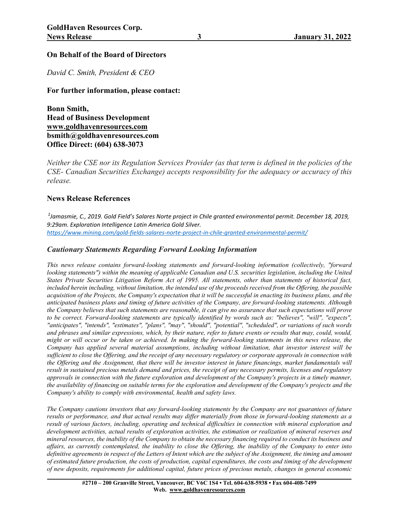### **On Behalf of the Board of Directors**

*David C. Smith, President & CEO*

**For further information, please contact:**

**Bonn Smith, Head of Business Development [www.goldhavenresources.com](http://www.goldhavenresources.com/) bsmith@goldhavenresources.com Office Direct: (604) 638-3073**

Neither the CSE nor its Regulation Services Provider (as that term is defined in the policies of the *CSE- Canadian Securities Exchange) accepts responsibility for the adequacy or accuracy of this release.*

#### **News Release References**

*1 Jamasmie, C., 2019. Gold Field's Salares Norte project in Chile granted environmental permit. December 18, 2019, 9:29am. Exploration Intelligence Latin America Gold Silver. <https://www.mining.com/gold-fields-salares-norte-project-in-chile-granted-environmental-permit/>*

### *Cautionary Statements Regarding Forward Looking Information*

*This news release contains forward-looking statements and forward-looking information (collectively, "forward looking statements") within the meaning of applicable Canadian and U.S. securities legislation, including the United* States Private Securities Litigation Reform Act of 1995. All statements, other than statements of historical fact, included herein including, without limitation, the intended use of the proceeds received from the Offering, the possible acquisition of the Projects, the Company's expectation that it will be successful in enacting its business plans, and the *anticipated business plans and timing of future activities of the Company, are forward-looking statements. Although* the Company believes that such statements are reasonable, it can give no assurance that such expectations will prove *to be correct. Forward-looking statements are typically identified by words such as: "believes", "will", "expects", "anticipates", "intends", "estimates", "plans", "may", "should", "potential", "scheduled", or variations of such words* and phrases and similar expressions, which, by their nature, refer to future events or results that may, could, would, might or will occur or be taken or achieved. In making the forward-looking statements in this news release, the *Company has applied several material assumptions, including without limitation, that investor interest will be* sufficient to close the Offering, and the receipt of any necessary regulatory or corporate approvals in connection with the Offering and the Assignment, that there will be investor interest in future financings, market fundamentals will result in sustained precious metals demand and prices, the receipt of any necessary permits, licenses and regulatory approvals in connection with the future exploration and development of the Company's projects in a timely manner, the availability of financing on suitable terms for the exploration and development of the Company's projects and the *Company's ability to comply with environmental, health and safety laws.*

*The Company cautions investors that any forward-looking statements by the Company are not guarantees of future* results or performance, and that actual results may differ materially from those in forward-looking statements as a *result of various factors, including, operating and technical difficulties in connection with mineral exploration and development activities, actual results of exploration activities, the estimation or realization of mineral reserves and* mineral resources, the inability of the Company to obtain the necessary financing required to conduct its business and affairs, as currently contemplated, the inability to close the Offering, the inability of the Company to enter into definitive agreements in respect of the Letters of Intent which are the subject of the Assignment, the timing and amount of estimated future production, the costs of production, capital expenditures, the costs and timing of the development of new deposits, requirements for additional capital, future prices of precious metals, changes in general economic